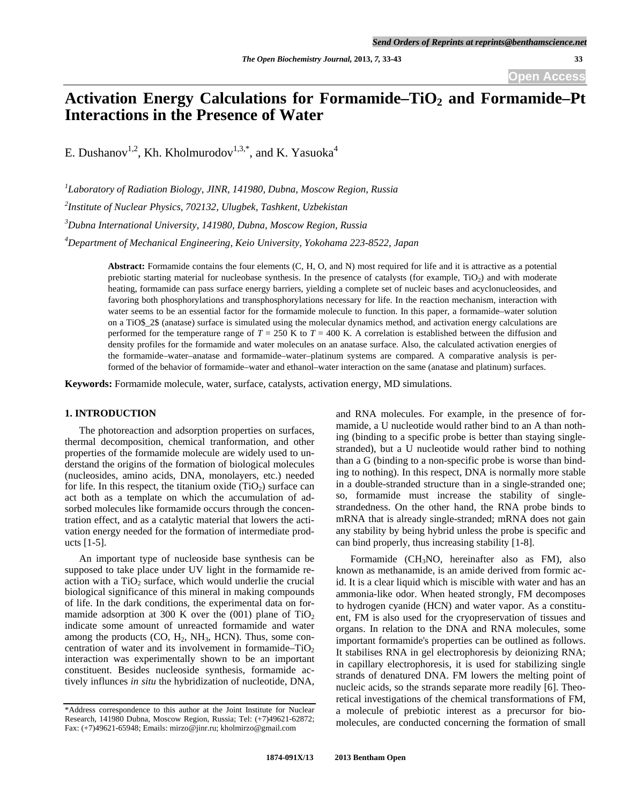# Activation Energy Calculations for Formamide–TiO<sub>2</sub> and Formamide–Pt **Interactions in the Presence of Water**

E. Dushanov<sup>1,2</sup>, Kh. Kholmurodov<sup>1,3,\*</sup>, and K. Yasuoka<sup>4</sup>

*1 Laboratory of Radiation Biology, JINR, 141980, Dubna, Moscow Region, Russia* 

*2 Institute of Nuclear Physics, 702132, Ulugbek, Tashkent, Uzbekistan* 

*3 Dubna International University, 141980, Dubna, Moscow Region, Russia* 

*4 Department of Mechanical Engineering, Keio University, Yokohama 223-8522, Japan* 

**Abstract:** Formamide contains the four elements (C, H, O, and N) most required for life and it is attractive as a potential prebiotic starting material for nucleobase synthesis. In the presence of catalysts (for example,  $TiO<sub>2</sub>$ ) and with moderate heating, formamide can pass surface energy barriers, yielding a complete set of nucleic bases and acyclonucleosides, and favoring both phosphorylations and transphosphorylations necessary for life. In the reaction mechanism, interaction with water seems to be an essential factor for the formamide molecule to function. In this paper, a formamide–water solution on a TiO\$\_2\$ (anatase) surface is simulated using the molecular dynamics method, and activation energy calculations are performed for the temperature range of *T* = 250 K to *T* = 400 K. A correlation is established between the diffusion and density profiles for the formamide and water molecules on an anatase surface. Also, the calculated activation energies of the formamide–water–anatase and formamide–water–platinum systems are compared. A comparative analysis is performed of the behavior of formamide–water and ethanol–water interaction on the same (anatase and platinum) surfaces.

**Keywords:** Formamide molecule, water, surface, catalysts, activation energy, MD simulations.

## **1. INTRODUCTION**

 The photoreaction and adsorption properties on surfaces, thermal decomposition, chemical tranformation, and other properties of the formamide molecule are widely used to understand the origins of the formation of biological molecules (nucleosides, amino acids, DNA, monolayers, etc.) needed for life. In this respect, the titanium oxide  $(TiO<sub>2</sub>)$  surface can act both as a template on which the accumulation of adsorbed molecules like formamide occurs through the concentration effect, and as a catalytic material that lowers the activation energy needed for the formation of intermediate products [1-5].

 An important type of nucleoside base synthesis can be supposed to take place under UV light in the formamide reaction with a  $TiO<sub>2</sub>$  surface, which would underlie the crucial biological significance of this mineral in making compounds of life. In the dark conditions, the experimental data on formamide adsorption at 300 K over the  $(001)$  plane of TiO<sub>2</sub> indicate some amount of unreacted formamide and water among the products  $(CO, H<sub>2</sub>, NH<sub>3</sub>, HCN)$ . Thus, some concentration of water and its involvement in formamide– $TiO<sub>2</sub>$ interaction was experimentally shown to be an important constituent. Besides nucleoside synthesis, formamide actively influnces *in situ* the hybridization of nucleotide, DNA,

and RNA molecules. For example, in the presence of formamide, a U nucleotide would rather bind to an A than nothing (binding to a specific probe is better than staying singlestranded), but a U nucleotide would rather bind to nothing than a G (binding to a non-specific probe is worse than binding to nothing). In this respect, DNA is normally more stable in a double-stranded structure than in a single-stranded one; so, formamide must increase the stability of singlestrandedness. On the other hand, the RNA probe binds to mRNA that is already single-stranded; mRNA does not gain any stability by being hybrid unless the probe is specific and can bind properly, thus increasing stability [1-8].

 Formamide (CH3NO, hereinafter also as FM), also known as methanamide, is an amide derived from formic acid. It is a clear liquid which is miscible with water and has an ammonia-like odor. When heated strongly, FM decomposes to hydrogen cyanide (HCN) and water vapor. As a constituent, FM is also used for the cryopreservation of tissues and organs. In relation to the DNA and RNA molecules, some important formamide's properties can be outlined as follows. It stabilises RNA in gel electrophoresis by deionizing RNA; in capillary electrophoresis, it is used for stabilizing single strands of denatured DNA. FM lowers the melting point of nucleic acids, so the strands separate more readily [6]. Theoretical investigations of the chemical transformations of FM, a molecule of prebiotic interest as a precursor for biomolecules, are conducted concerning the formation of small

<sup>\*</sup>Address correspondence to this author at the Joint Institute for Nuclear Research, 141980 Dubna, Moscow Region, Russia; Tel: (+7)49621-62872; Fax: (+7)49621-65948; Emails: mirzo@jinr.ru; kholmirzo@gmail.com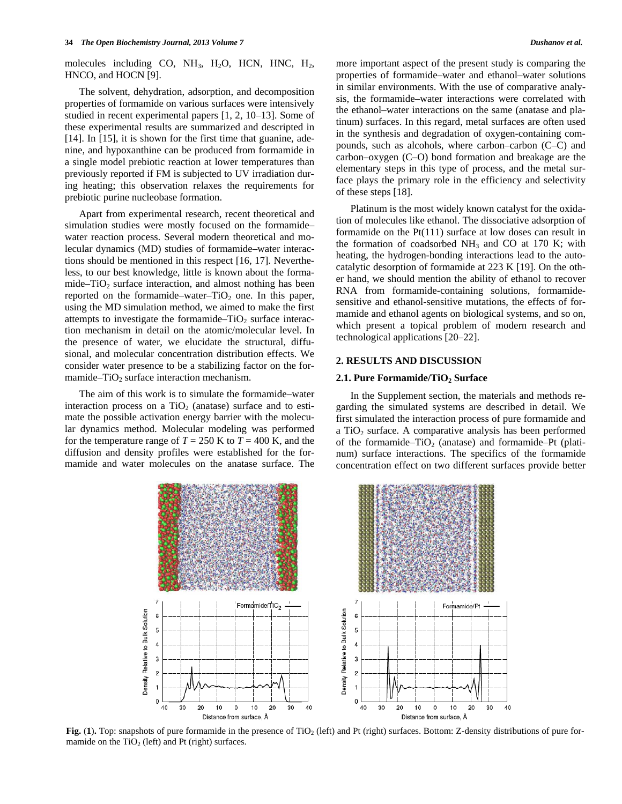molecules including CO,  $NH_3$ , H<sub>2</sub>O, HCN, HNC, H<sub>2</sub>, HNCO, and HOCN [9].

 The solvent, dehydration, adsorption, and decomposition properties of formamide on various surfaces were intensively studied in recent experimental papers [1, 2, 10–13]. Some of these experimental results are summarized and descripted in [14]. In [15], it is shown for the first time that guanine, adenine, and hypoxanthine can be produced from formamide in a single model prebiotic reaction at lower temperatures than previously reported if FM is subjected to UV irradiation during heating; this observation relaxes the requirements for prebiotic purine nucleobase formation.

 Apart from experimental research, recent theoretical and simulation studies were mostly focused on the formamide– water reaction process. Several modern theoretical and molecular dynamics (MD) studies of formamide–water interactions should be mentioned in this respect [16, 17]. Nevertheless, to our best knowledge, little is known about the formamide– $TiO<sub>2</sub>$  surface interaction, and almost nothing has been reported on the formamide–water– $TiO<sub>2</sub>$  one. In this paper, using the MD simulation method, we aimed to make the first attempts to investigate the formamide– $TiO<sub>2</sub>$  surface interaction mechanism in detail on the atomic/molecular level. In the presence of water, we elucidate the structural, diffusional, and molecular concentration distribution effects. We consider water presence to be a stabilizing factor on the formamide– $TiO<sub>2</sub>$  surface interaction mechanism.

 The aim of this work is to simulate the formamide–water interaction process on a  $TiO<sub>2</sub>$  (anatase) surface and to estimate the possible activation energy barrier with the molecular dynamics method. Molecular modeling was performed for the temperature range of  $T = 250$  K to  $T = 400$  K, and the diffusion and density profiles were established for the formamide and water molecules on the anatase surface. The

more important aspect of the present study is comparing the properties of formamide–water and ethanol–water solutions in similar environments. With the use of comparative analysis, the formamide–water interactions were correlated with the ethanol–water interactions on the same (anatase and platinum) surfaces. In this regard, metal surfaces are often used in the synthesis and degradation of oxygen-containing compounds, such as alcohols, where carbon–carbon (C–C) and carbon–oxygen (C–O) bond formation and breakage are the elementary steps in this type of process, and the metal surface plays the primary role in the efficiency and selectivity of these steps [18].

 Platinum is the most widely known catalyst for the oxidation of molecules like ethanol. The dissociative adsorption of formamide on the Pt(111) surface at low doses can result in the formation of coadsorbed  $NH_3$  and CO at 170 K; with heating, the hydrogen-bonding interactions lead to the autocatalytic desorption of formamide at 223 K [19]. On the other hand, we should mention the ability of ethanol to recover RNA from formamide-containing solutions, formamidesensitive and ethanol-sensitive mutations, the effects of formamide and ethanol agents on biological systems, and so on, which present a topical problem of modern research and technological applications [20–22].

## **2. RESULTS AND DISCUSSION**

## **2.1. Pure Formamide/TiO<sub>2</sub> Surface**

 In the Supplement section, the materials and methods regarding the simulated systems are described in detail. We first simulated the interaction process of pure formamide and a  $TiO<sub>2</sub>$  surface. A comparative analysis has been performed of the formamide–TiO<sub>2</sub> (anatase) and formamide–Pt (platinum) surface interactions. The specifics of the formamide concentration effect on two different surfaces provide better

|  | <b>All St</b> |  |
|--|---------------|--|
|  |               |  |



**Fig.** (1). Top: snapshots of pure formamide in the presence of TiO<sub>2</sub> (left) and Pt (right) surfaces. Bottom: Z-density distributions of pure formamide on the  $TiO<sub>2</sub>$  (left) and Pt (right) surfaces.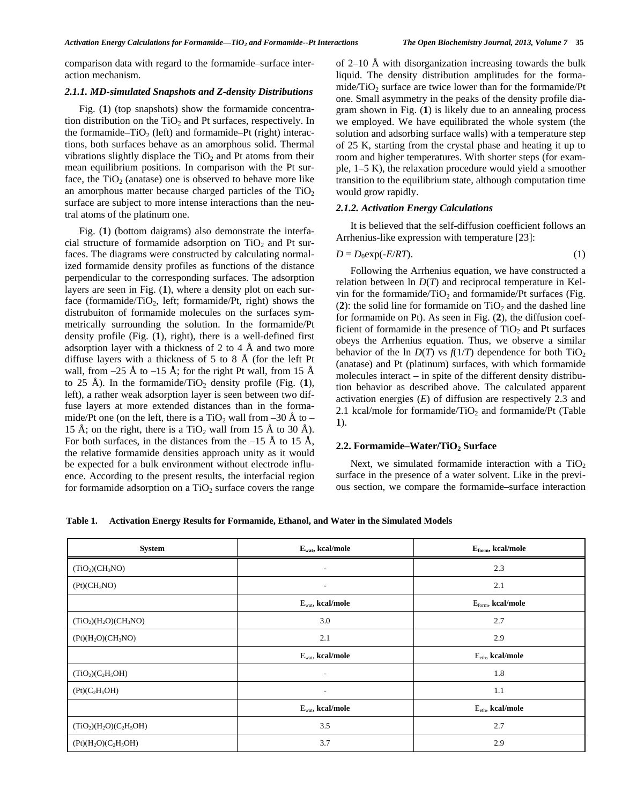comparison data with regard to the formamide–surface interaction mechanism.

## *2.1.1. MD-simulated Snapshots and Z-density Distributions*

Fig. (1) (top snapshots) show the formamide concentration distribution on the  $TiO<sub>2</sub>$  and Pt surfaces, respectively. In the formamide– $TiO<sub>2</sub>$  (left) and formamide–Pt (right) interactions, both surfaces behave as an amorphous solid. Thermal vibrations slightly displace the  $TiO<sub>2</sub>$  and Pt atoms from their mean equilibrium positions. In comparison with the Pt surface, the  $TiO<sub>2</sub>$  (anatase) one is observed to behave more like an amorphous matter because charged particles of the  $TiO<sub>2</sub>$ surface are subject to more intense interactions than the neutral atoms of the platinum one.

 Fig. (**1**) (bottom daigrams) also demonstrate the interfacial structure of formamide adsorption on  $TiO<sub>2</sub>$  and Pt surfaces. The diagrams were constructed by calculating normalized formamide density profiles as functions of the distance perpendicular to the corresponding surfaces. The adsorption layers are seen in Fig. (**1**), where a density plot on each surface (formamide/TiO<sub>2</sub>, left; formamide/Pt, right) shows the distrubuiton of formamide molecules on the surfaces symmetrically surrounding the solution. In the formamide/Pt density profile (Fig. (**1**), right), there is a well-defined first adsorption layer with a thickness of 2 to 4  $\AA$  and two more diffuse layers with a thickness of 5 to 8 Å (for the left Pt wall, from  $-25 \text{ Å}$  to  $-15 \text{ Å}$ ; for the right Pt wall, from 15 Å to 25 Å). In the formamide/TiO<sub>2</sub> density profile (Fig.  $(1)$ , left), a rather weak adsorption layer is seen between two diffuse layers at more extended distances than in the formamide/Pt one (on the left, there is a TiO<sub>2</sub> wall from –30 Å to – 15 Å; on the right, there is a TiO<sub>2</sub> wall from 15 Å to 30 Å). For both surfaces, in the distances from the  $-15 \text{ Å}$  to 15 Å, the relative formamide densities approach unity as it would be expected for a bulk environment without electrode influence. According to the present results, the interfacial region for formamide adsorption on a  $TiO<sub>2</sub>$  surface covers the range

of 2–10 Å with disorganization increasing towards the bulk liquid. The density distribution amplitudes for the formamide/TiO<sub>2</sub> surface are twice lower than for the formamide/Pt one. Small asymmetry in the peaks of the density profile diagram shown in Fig. (**1**) is likely due to an annealing process we employed. We have equilibrated the whole system (the solution and adsorbing surface walls) with a temperature step of 25 K, starting from the crystal phase and heating it up to room and higher temperatures. With shorter steps (for example, 1–5 K), the relaxation procedure would yield a smoother transition to the equilibrium state, although computation time would grow rapidly.

## *2.1.2. Activation Energy Calculations*

 It is believed that the self-diffusion coefficient follows an Arrhenius-like expression with temperature [23]:

$$
D = D_0 \exp(-E/RT). \tag{1}
$$

 Following the Arrhenius equation, we have constructed a relation between ln *D*(*T*) and reciprocal temperature in Kelvin for the formamide/ $TiO<sub>2</sub>$  and formamide/Pt surfaces (Fig.  $(2)$ : the solid line for formamide on TiO<sub>2</sub> and the dashed line for formamide on Pt). As seen in Fig. (**2**), the diffusion coefficient of formamide in the presence of  $TiO<sub>2</sub>$  and Pt surfaces obeys the Arrhenius equation. Thus, we observe a similar behavior of the ln  $D(T)$  vs  $f(1/T)$  dependence for both TiO<sub>2</sub> (anatase) and Pt (platinum) surfaces, with which formamide molecules interact – in spite of the different density distribution behavior as described above. The calculated apparent activation energies (*E*) of diffusion are respectively 2.3 and 2.1 kcal/mole for formamide/ $TiO<sub>2</sub>$  and formamide/ $Pt$  (Table **1**).

## 2.2. Formamide–Water/TiO<sub>2</sub> Surface

Next, we simulated formamide interaction with a  $TiO<sub>2</sub>$ surface in the presence of a water solvent. Like in the previous section, we compare the formamide–surface interaction

**Table 1. Activation Energy Results for Formamide, Ethanol, and Water in the Simulated Models** 

| System                                  | $E_{\text{wat}}$ , kcal/mole | $E_{form}$ , kcal/mole |
|-----------------------------------------|------------------------------|------------------------|
| (TiO <sub>2</sub> )(CH <sub>3</sub> NO) | $\overline{\phantom{a}}$     | 2.3                    |
| (Pt)(CH <sub>3</sub> NO)                | $\sim$                       | 2.1                    |
|                                         | $E_{wat}$ , kcal/mole        | $Eform$ , kcal/mole    |
| $(TiO2)(H2O)(CH3NO)$                    | 3.0                          | 2.7                    |
| $(Pt)(H_2O)(CH_3NO)$                    | 2.1                          | 2.9                    |
|                                         | $E_{wat}$ , kcal/mole        | $Eeth$ , kcal/mole     |
| $(TiO2)(C2H5OH)$                        | $\overline{\phantom{a}}$     | 1.8                    |
| (Pt)(C <sub>2</sub> H <sub>5</sub> OH)  | $\overline{\phantom{a}}$     | 1.1                    |
|                                         | $E_{wat}$ , kcal/mole        | $Eeth$ , kcal/mole     |
| $(TiO2)(H2O)(C2H5OH)$                   | 3.5                          | 2.7                    |
| $(Pt)(H_2O)(C_2H_5OH)$                  | 3.7                          | 2.9                    |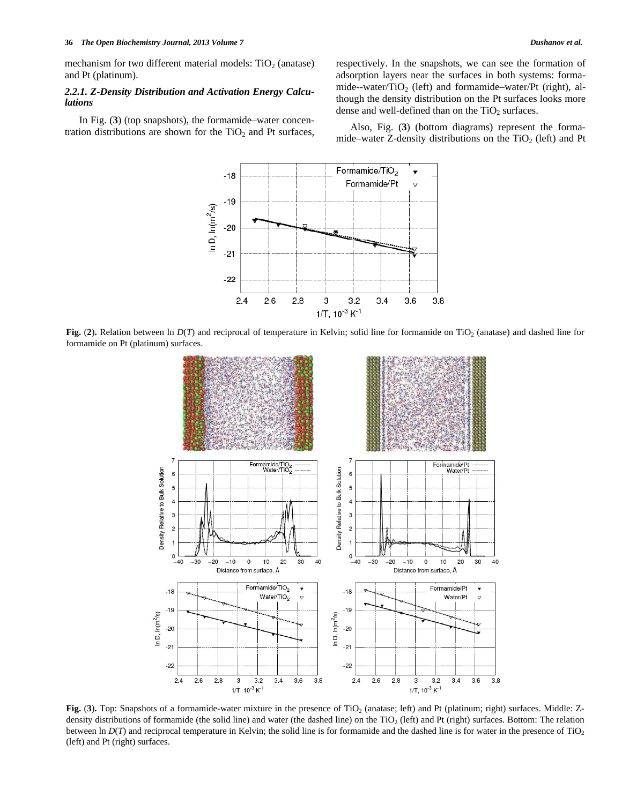mechanism for two different material models:  $TiO<sub>2</sub>$  (anatase) and Pt (platinum).

## *2.2.1. Z-Density Distribution and Activation Energy Calculations*

 In Fig. (**3**) (top snapshots), the formamide–water concentration distributions are shown for the  $TiO<sub>2</sub>$  and Pt surfaces, respectively. In the snapshots, we can see the formation of adsorption layers near the surfaces in both systems: formamide--water/TiO<sub>2</sub> (left) and formamide–water/Pt (right), although the density distribution on the Pt surfaces looks more dense and well-defined than on the  $TiO<sub>2</sub>$  surfaces.

 Also, Fig. (**3**) (bottom diagrams) represent the formamide–water Z-density distributions on the  $TiO<sub>2</sub>$  (left) and Pt



**Fig.** (2). Relation between ln  $D(T)$  and reciprocal of temperature in Kelvin; solid line for formamide on TiO<sub>2</sub> (anatase) and dashed line for formamide on Pt (platinum) surfaces.



Fig. (3). Top: Snapshots of a formamide-water mixture in the presence of TiO<sub>2</sub> (anatase; left) and Pt (platinum; right) surfaces. Middle: Zdensity distributions of formamide (the solid line) and water (the dashed line) on the TiO<sub>2</sub> (left) and Pt (right) surfaces. Bottom: The relation between ln  $D(T)$  and reciprocal temperature in Kelvin; the solid line is for formamide and the dashed line is for water in the presence of  $TiO<sub>2</sub>$ (left) and Pt (right) surfaces.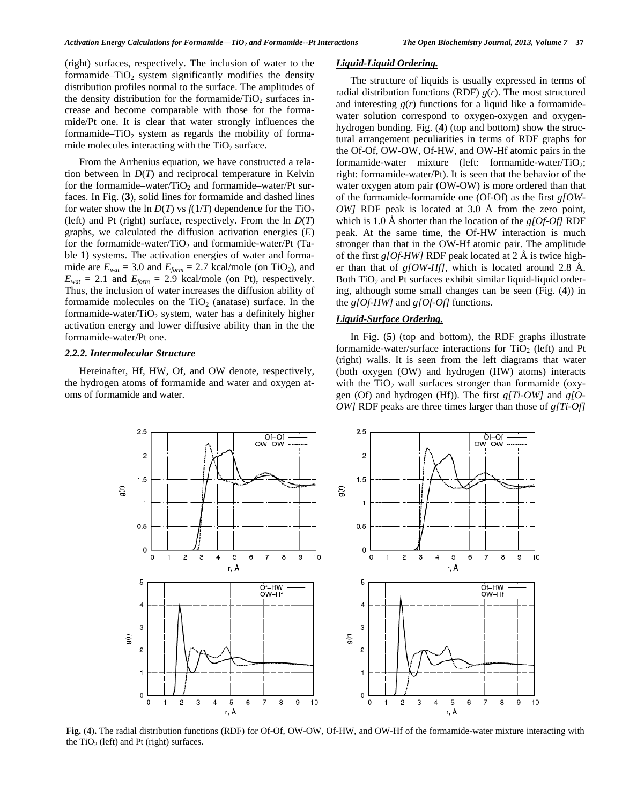(right) surfaces, respectively. The inclusion of water to the formamide–TiO<sub>2</sub> system significantly modifies the density distribution profiles normal to the surface. The amplitudes of the density distribution for the formamide/ $TiO<sub>2</sub>$  surfaces increase and become comparable with those for the formamide/Pt one. It is clear that water strongly influences the formamide–TiO<sub>2</sub> system as regards the mobility of formamide molecules interacting with the  $TiO<sub>2</sub>$  surface.

 From the Arrhenius equation, we have constructed a relation between ln *D*(*T*) and reciprocal temperature in Kelvin for the formamide–water/ $TiO<sub>2</sub>$  and formamide–water/Pt surfaces. In Fig. (**3**), solid lines for formamide and dashed lines for water show the ln  $D(T)$  vs  $f(1/T)$  dependence for the TiO<sub>2</sub> (left) and Pt (right) surface, respectively. From the ln *D*(*T*) graphs, we calculated the diffusion activation energies (*E*) for the formamide-water/ $TiO<sub>2</sub>$  and formamide-water/Pt (Table **1**) systems. The activation energies of water and formamide are  $E_{wat} = 3.0$  and  $E_{form} = 2.7$  kcal/mole (on TiO<sub>2</sub>), and  $E_{wat} = 2.1$  and  $E_{form} = 2.9$  kcal/mole (on Pt), respectively. Thus, the inclusion of water increases the diffusion ability of formamide molecules on the  $TiO<sub>2</sub>$  (anatase) surface. In the formamide-water/ $TiO<sub>2</sub>$  system, water has a definitely higher activation energy and lower diffusive ability than in the the formamide-water/Pt one.

#### *2.2.2. Intermolecular Structure*

 Hereinafter, Hf, HW, Of, and OW denote, respectively, the hydrogen atoms of formamide and water and oxygen atoms of formamide and water.

## *Liquid-Liquid Ordering.*

 The structure of liquids is usually expressed in terms of radial distribution functions (RDF)  $g(r)$ . The most structured and interesting  $g(r)$  functions for a liquid like a formamidewater solution correspond to oxygen-oxygen and oxygenhydrogen bonding. Fig. (**4**) (top and bottom) show the structural arrangement peculiarities in terms of RDF graphs for the Of-Of, OW-OW, Of-HW, and OW-Hf atomic pairs in the formamide-water mixture (left: formamide-water/ $TiO<sub>2</sub>$ ; right: formamide-water/Pt). It is seen that the behavior of the water oxygen atom pair (OW-OW) is more ordered than that of the formamide-formamide one (Of-Of) as the first *g[OW-OW]* RDF peak is located at 3.0 Å from the zero point, which is 1.0 Å shorter than the location of the *g[Of-Of]* RDF peak. At the same time, the Of-HW interaction is much stronger than that in the OW-Hf atomic pair. The amplitude of the first *g[Of-HW]* RDF peak located at 2 Å is twice higher than that of *g[OW-Hf]*, which is located around 2.8 Å. Both  $TiO<sub>2</sub>$  and Pt surfaces exhibit similar liquid-liquid ordering, although some small changes can be seen (Fig. (**4**)) in the *g[Of-HW]* and *g[Of-Of]* functions.

## *Liquid-Surface Ordering.*

 In Fig. (**5**) (top and bottom), the RDF graphs illustrate formamide-water/surface interactions for  $TiO<sub>2</sub>$  (left) and Pt (right) walls. It is seen from the left diagrams that water (both oxygen (OW) and hydrogen (HW) atoms) interacts with the  $TiO<sub>2</sub>$  wall surfaces stronger than formamide (oxygen (Of) and hydrogen (Hf)). The first *g[Ti-OW]* and *g[O-OW]* RDF peaks are three times larger than those of *g[Ti-Of]*



**Fig.** (**4**)**.** The radial distribution functions (RDF) for Of-Of, OW-OW, Of-HW, and OW-Hf of the formamide-water mixture interacting with the  $TiO<sub>2</sub>$  (left) and Pt (right) surfaces.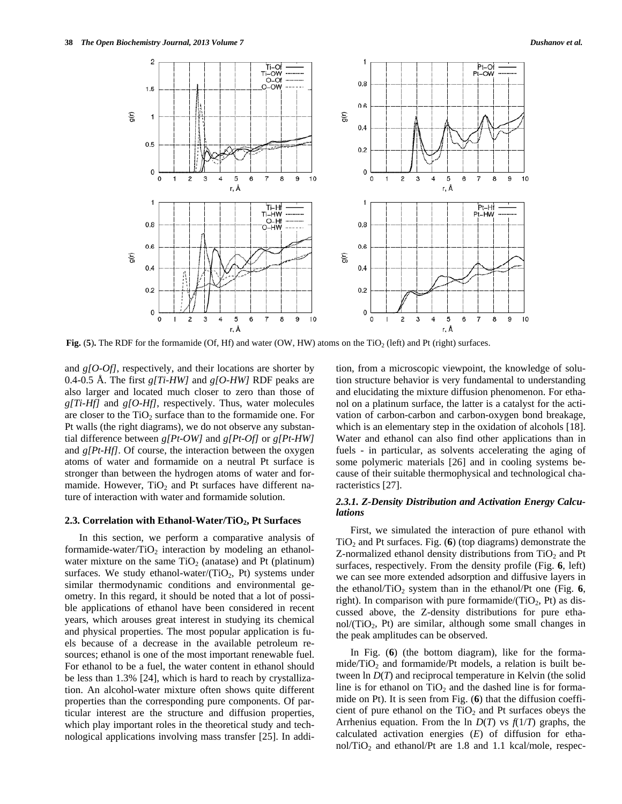

**Fig.**  $(5)$ . The RDF for the formamide (Of, Hf) and water (OW, HW) atoms on the TiO<sub>2</sub> (left) and Pt (right) surfaces.

and *g[O-Of]*, respectively, and their locations are shorter by 0.4-0.5 Å. The first *g[Ti-HW]* and *g[O-HW]* RDF peaks are also larger and located much closer to zero than those of *g[Ti-Hf]* and *g[O-Hf]*, respectively. Thus, water molecules are closer to the  $TiO<sub>2</sub>$  surface than to the formamide one. For Pt walls (the right diagrams), we do not observe any substantial difference between *g[Pt-OW]* and *g[Pt-Of]* or *g[Pt-HW]* and *g*[*Pt-Hf*]. Of course, the interaction between the oxygen atoms of water and formamide on a neutral Pt surface is stronger than between the hydrogen atoms of water and formamide. However,  $TiO<sub>2</sub>$  and Pt surfaces have different nature of interaction with water and formamide solution.

#### 2.3. Correlation with Ethanol-Water/TiO<sub>2</sub>, Pt Surfaces

 In this section, we perform a comparative analysis of formamide-water/ $TiO<sub>2</sub>$  interaction by modeling an ethanolwater mixture on the same  $TiO<sub>2</sub>$  (anatase) and Pt (platinum) surfaces. We study ethanol-water/(TiO<sub>2</sub>, Pt) systems under similar thermodynamic conditions and environmental geometry. In this regard, it should be noted that a lot of possible applications of ethanol have been considered in recent years, which arouses great interest in studying its chemical and physical properties. The most popular application is fuels because of a decrease in the available petroleum resources; ethanol is one of the most important renewable fuel. For ethanol to be a fuel, the water content in ethanol should be less than 1.3% [24], which is hard to reach by crystallization. An alcohol-water mixture often shows quite different properties than the corresponding pure components. Of particular interest are the structure and diffusion properties, which play important roles in the theoretical study and technological applications involving mass transfer [25]. In addition, from a microscopic viewpoint, the knowledge of solution structure behavior is very fundamental to understanding and elucidating the mixture diffusion phenomenon. For ethanol on a platinum surface, the latter is a catalyst for the activation of carbon-carbon and carbon-oxygen bond breakage, which is an elementary step in the oxidation of alcohols [18]. Water and ethanol can also find other applications than in fuels - in particular, as solvents accelerating the aging of some polymeric materials [26] and in cooling systems because of their suitable thermophysical and technological characteristics [27].

## *2.3.1. Z-Density Distribution and Activation Energy Calculations*

 First, we simulated the interaction of pure ethanol with  $TiO<sub>2</sub>$  and Pt surfaces. Fig. (6) (top diagrams) demonstrate the Z-normalized ethanol density distributions from  $TiO<sub>2</sub>$  and Pt surfaces, respectively. From the density profile (Fig. **6**, left) we can see more extended adsorption and diffusive layers in the ethanol/TiO<sub>2</sub> system than in the ethanol/Pt one (Fig.  $6$ , right). In comparison with pure formamide/ $(TiO<sub>2</sub>, Pt)$  as discussed above, the Z-density distributions for pure etha $nol/(TiO<sub>2</sub>, Pt)$  are similar, although some small changes in the peak amplitudes can be observed.

 In Fig. (**6**) (the bottom diagram), like for the formamide/ $TiO<sub>2</sub>$  and formamide/Pt models, a relation is built between ln *D*(*T*) and reciprocal temperature in Kelvin (the solid line is for ethanol on  $TiO<sub>2</sub>$  and the dashed line is for formamide on Pt). It is seen from Fig. (**6**) that the diffusion coefficient of pure ethanol on the  $TiO<sub>2</sub>$  and Pt surfaces obeys the Arrhenius equation. From the ln  $D(T)$  vs  $f(1/T)$  graphs, the calculated activation energies (*E*) of diffusion for ethanol/TiO<sub>2</sub> and ethanol/Pt are 1.8 and 1.1 kcal/mole, respec-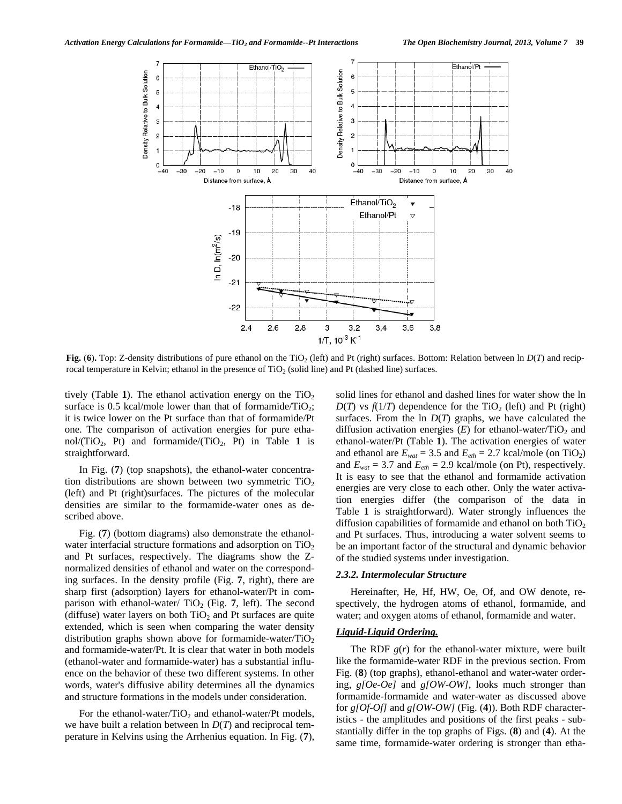

**Fig.** (6). Top: Z-density distributions of pure ethanol on the TiO<sub>2</sub> (left) and Pt (right) surfaces. Bottom: Relation between ln  $D(T)$  and reciprocal temperature in Kelvin; ethanol in the presence of TiO<sub>2</sub> (solid line) and Pt (dashed line) surfaces.

tively (Table 1). The ethanol activation energy on the  $TiO<sub>2</sub>$ surface is 0.5 kcal/mole lower than that of formamide/ $TiO<sub>2</sub>$ ; it is twice lower on the Pt surface than that of formamide/Pt one. The comparison of activation energies for pure ethanol/ $(TiO_2, Pt)$  and formamide/ $(TiO_2, Pt)$  in Table 1 is straightforward.

 In Fig. (**7**) (top snapshots), the ethanol-water concentration distributions are shown between two symmetric  $TiO<sub>2</sub>$ (left) and Pt (right)surfaces. The pictures of the molecular densities are similar to the formamide-water ones as described above.

 Fig. (**7**) (bottom diagrams) also demonstrate the ethanolwater interfacial structure formations and adsorption on  $TiO<sub>2</sub>$ and Pt surfaces, respectively. The diagrams show the Znormalized densities of ethanol and water on the corresponding surfaces. In the density profile (Fig. **7**, right), there are sharp first (adsorption) layers for ethanol-water/Pt in comparison with ethanol-water/ $TiO<sub>2</sub>$  (Fig. 7, left). The second (diffuse) water layers on both  $TiO<sub>2</sub>$  and Pt surfaces are quite extended, which is seen when comparing the water density distribution graphs shown above for formamide-water/ $TiO<sub>2</sub>$ and formamide-water/Pt. It is clear that water in both models (ethanol-water and formamide-water) has a substantial influence on the behavior of these two different systems. In other words, water's diffusive ability determines all the dynamics and structure formations in the models under consideration.

For the ethanol-water/TiO<sub>2</sub> and ethanol-water/Pt models, we have built a relation between ln *D*(*T*) and reciprocal temperature in Kelvins using the Arrhenius equation. In Fig. (**7**),

solid lines for ethanol and dashed lines for water show the ln  $D(T)$  vs  $f(1/T)$  dependence for the TiO<sub>2</sub> (left) and Pt (right) surfaces. From the  $\ln D(T)$  graphs, we have calculated the diffusion activation energies  $(E)$  for ethanol-water/TiO<sub>2</sub> and ethanol-water/Pt (Table **1**). The activation energies of water and ethanol are  $E_{wat} = 3.5$  and  $E_{eth} = 2.7$  kcal/mole (on TiO<sub>2</sub>) and  $E_{wat} = 3.7$  and  $E_{eth} = 2.9$  kcal/mole (on Pt), respectively. It is easy to see that the ethanol and formamide activation energies are very close to each other. Only the water activation energies differ (the comparison of the data in Table **1** is straightforward). Water strongly influences the diffusion capabilities of formamide and ethanol on both  $TiO<sub>2</sub>$ and Pt surfaces. Thus, introducing a water solvent seems to be an important factor of the structural and dynamic behavior of the studied systems under investigation.

### *2.3.2. Intermolecular Structure*

 Hereinafter, He, Hf, HW, Oe, Of, and OW denote, respectively, the hydrogen atoms of ethanol, formamide, and water; and oxygen atoms of ethanol, formamide and water.

# *Liquid-Liquid Ordering.*

The RDF  $g(r)$  for the ethanol-water mixture, were built like the formamide-water RDF in the previous section. From Fig. (**8**) (top graphs), ethanol-ethanol and water-water ordering, *g[Oe-Oe]* and *g[OW-OW]*, looks much stronger than formamide-formamide and water-water as discussed above for *g[Of-Of]* and *g[OW-OW]* (Fig. (**4**)). Both RDF characteristics - the amplitudes and positions of the first peaks - substantially differ in the top graphs of Figs. (**8**) and (**4**). At the same time, formamide-water ordering is stronger than etha-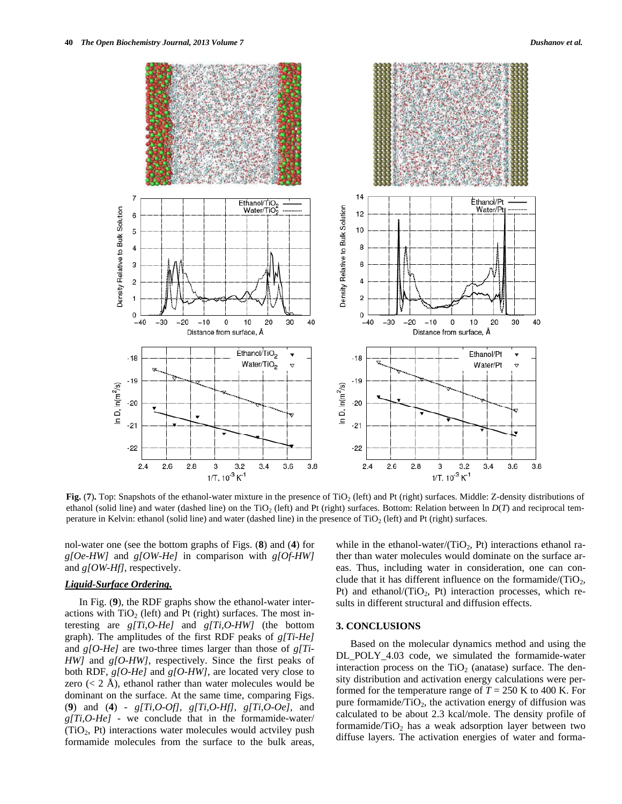

Fig. (7). Top: Snapshots of the ethanol-water mixture in the presence of TiO<sub>2</sub> (left) and Pt (right) surfaces. Middle: Z-density distributions of ethanol (solid line) and water (dashed line) on the TiO<sub>2</sub> (left) and Pt (right) surfaces. Bottom: Relation between ln  $D(T)$  and reciprocal temperature in Kelvin: ethanol (solid line) and water (dashed line) in the presence of  $TiO<sub>2</sub>$  (left) and Pt (right) surfaces.

nol-water one (see the bottom graphs of Figs. (**8**) and (**4**) for *g[Oe-HW]* and *g[OW-He]* in comparison with *g[Of-HW]* and *g[OW-Hf]*, respectively.

## *Liquid-Surface Ordering.*

 In Fig. (**9**), the RDF graphs show the ethanol-water interactions with  $TiO<sub>2</sub>$  (left) and Pt (right) surfaces. The most interesting are *g[Ti,O-He]* and *g[Ti,O-HW]* (the bottom graph). The amplitudes of the first RDF peaks of *g[Ti-He]* and *g[O-He]* are two-three times larger than those of *g[Ti-HW]* and *g[O-HW]*, respectively. Since the first peaks of both RDF, *g[O-He]* and *g[O-HW]*, are located very close to zero  $(< 2 \text{ Å})$ , ethanol rather than water molecules would be dominant on the surface. At the same time, comparing Figs. (**9**) and (**4**) - *g[Ti,O-Of]*, *g[Ti,O-Hf]*, *g[Ti,O-Oe]*, and *g[Ti,O-He]* - we conclude that in the formamide-water/ (TiO2, Pt) interactions water molecules would actviley push formamide molecules from the surface to the bulk areas,

while in the ethanol-water/(TiO<sub>2</sub>, Pt) interactions ethanol rather than water molecules would dominate on the surface areas. Thus, including water in consideration, one can conclude that it has different influence on the formamide/(TiO<sub>2</sub>, Pt) and ethanol/ $(TiO<sub>2</sub>, Pt)$  interaction processes, which results in different structural and diffusion effects.

## **3. CONCLUSIONS**

 Based on the molecular dynamics method and using the DL\_POLY\_4.03 code, we simulated the formamide-water interaction process on the  $TiO<sub>2</sub>$  (anatase) surface. The density distribution and activation energy calculations were performed for the temperature range of  $T = 250$  K to 400 K. For pure formamide/ $TiO<sub>2</sub>$ , the activation energy of diffusion was calculated to be about 2.3 kcal/mole. The density profile of formamide/ $TiO<sub>2</sub>$  has a weak adsorption layer between two diffuse layers. The activation energies of water and forma-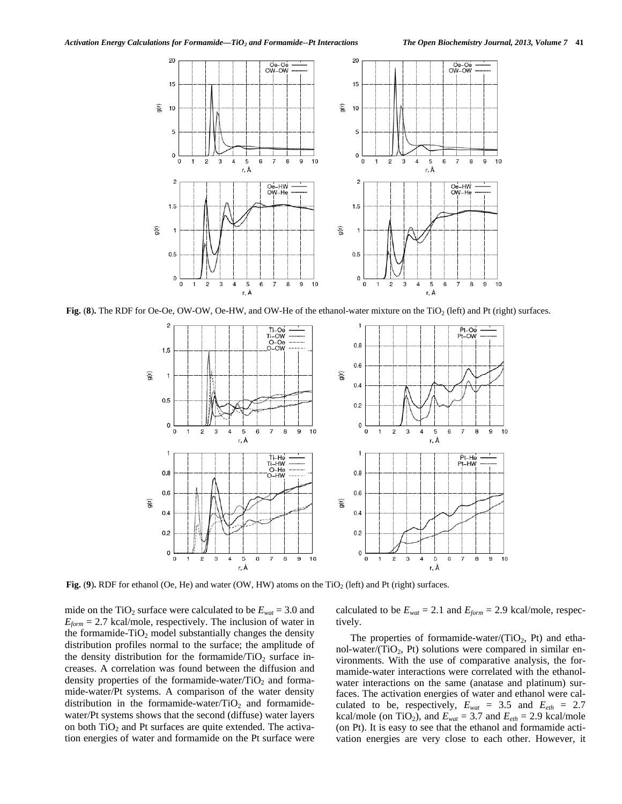

**Fig. (8).** The RDF for Oe-Oe, OW-OW, Oe-HW, and OW-He of the ethanol-water mixture on the TiO<sub>2</sub> (left) and Pt (right) surfaces.



**Fig. (9).** RDF for ethanol (Oe, He) and water (OW, HW) atoms on the TiO<sub>2</sub> (left) and Pt (right) surfaces.

mide on the TiO<sub>2</sub> surface were calculated to be  $E_{wat} = 3.0$  and  $E_{form} = 2.7$  kcal/mole, respectively. The inclusion of water in the formamide- $TiO<sub>2</sub>$  model substantially changes the density distribution profiles normal to the surface; the amplitude of the density distribution for the formamide/ $TiO<sub>2</sub>$  surface increases. A correlation was found between the diffusion and density properties of the formamide-water/ $TiO<sub>2</sub>$  and formamide-water/Pt systems. A comparison of the water density distribution in the formamide-water/ $TiO<sub>2</sub>$  and formamidewater/Pt systems shows that the second (diffuse) water layers on both  $TiO<sub>2</sub>$  and Pt surfaces are quite extended. The activation energies of water and formamide on the Pt surface were calculated to be  $E_{wat} = 2.1$  and  $E_{form} = 2.9$  kcal/mole, respectively.

The properties of formamide-water/ $(TiO<sub>2</sub>, Pt)$  and ethanol-water/(TiO<sub>2</sub>, Pt) solutions were compared in similar environments. With the use of comparative analysis, the formamide-water interactions were correlated with the ethanolwater interactions on the same (anatase and platinum) surfaces. The activation energies of water and ethanol were calculated to be, respectively,  $E_{wat} = 3.5$  and  $E_{eth} = 2.7$ kcal/mole (on TiO<sub>2</sub>), and  $E_{wat} = 3.7$  and  $E_{eth} = 2.9$  kcal/mole (on Pt). It is easy to see that the ethanol and formamide activation energies are very close to each other. However, it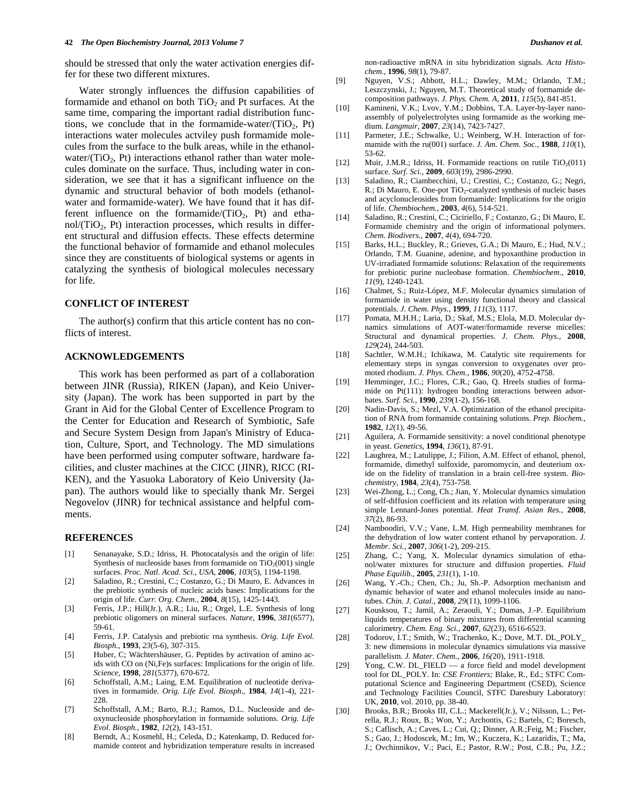should be stressed that only the water activation energies differ for these two different mixtures.

 Water strongly influences the diffusion capabilities of formamide and ethanol on both  $TiO<sub>2</sub>$  and Pt surfaces. At the same time, comparing the important radial distribution functions, we conclude that in the formamide-water/(TiO<sub>2</sub>, Pt) interactions water molecules actviley push formamide molecules from the surface to the bulk areas, while in the ethanolwater/ $(TiO<sub>2</sub>, Pt)$  interactions ethanol rather than water molecules dominate on the surface. Thus, including water in consideration, we see that it has a significant influence on the dynamic and structural behavior of both models (ethanolwater and formamide-water). We have found that it has different influence on the formamide/ $(TiO_2, Pt)$  and etha $nol/(TiO<sub>2</sub>, Pt)$  interaction processes, which results in different structural and diffusion effects. These effects determine the functional behavior of formamide and ethanol molecules since they are constituents of biological systems or agents in catalyzing the synthesis of biological molecules necessary for life.

#### **CONFLICT OF INTEREST**

 The author(s) confirm that this article content has no conflicts of interest.

## **ACKNOWLEDGEMENTS**

 This work has been performed as part of a collaboration between JINR (Russia), RIKEN (Japan), and Keio University (Japan). The work has been supported in part by the Grant in Aid for the Global Center of Excellence Program to the Center for Education and Research of Symbiotic, Safe and Secure System Design from Japan's Ministry of Education, Culture, Sport, and Technology. The MD simulations have been performed using computer software, hardware facilities, and cluster machines at the CICC (JINR), RICC (RI-KEN), and the Yasuoka Laboratory of Keio University (Japan). The authors would like to specially thank Mr. Sergei Negovelov (JINR) for technical assistance and helpful comments.

#### **REFERENCES**

- [1] Senanayake, S.D.; Idriss, H. Photocatalysis and the origin of life: Synthesis of nucleoside bases from formamide on  $TiO_2(001)$  single surfaces. *Proc. Natl. Acad. Sci., USA*, **2006**, *103*(5), 1194-1198.
- [2] Saladino, R.; Crestini, C.; Costanzo, G.; Di Mauro, E. Advances in the prebiotic synthesis of nucleic acids bases: Implications for the origin of life. *Curr. Org. Chem.*, **2004**, *8*(15)*,* 1425-1443.
- [3] Ferris, J.P.; Hill(Jr.), A.R.; Liu, R.; Orgel, L.E. Synthesis of long prebiotic oligomers on mineral surfaces. *Nature*, **1996**, *381*(6577), 59-61.
- [4] Ferris, J.P. Catalysis and prebiotic rna synthesis. *Orig. Life Evol. Biosph.*, **1993**, *23*(5-6)*,* 307-315.
- [5] Huber, C; Wächtershäuser, G. Peptides by activation of amino acids with CO on (Ni,Fe)s surfaces: Implications for the origin of life. *Science*, **1998**, *281*(5377), 670-672.
- [6] Schoffstall, A.M.; Laing, E.M. Equilibration of nucleotide derivatives in formamide. *Orig. Life Evol. Biosph*., **1984**, *14*(1-4), 221- 228.
- [7] Schoffstall, A.M.; Barto, R.J.; Ramos, D.L. Nucleoside and deoxynucleoside phosphorylation in formamide solutions. *Orig. Life Evol. Biosph.*, **1982**, *12*(2), 143-151.
- [8] Berndt, A.; Kosmehl, H.; Celeda, D.; Katenkamp, D. Reduced formamide content and hybridization temperature results in increased

non-radioactive mRNA in situ hybridization signals. *Acta Histochem.*, **1996**, *98*(1), 79-87.

- [9] Nguyen, V.S.; Abbott, H.L.; Dawley, M.M.; Orlando, T.M.; Leszczynski, J.; Nguyen, M.T. Theoretical study of formamide decomposition pathways. *J. Phys. Chem. A*, **2011**, *115*(5), 841-851.
- [10] Kamineni, V.K.; Lvov, Y.M.; Dobbins, T.A. Layer-by-layer nanoassembly of polyelectrolytes using formamide as the working medium. *Langmuir*, **2007**, *23*(14), 7423-7427.
- [11] Parmeter, J.E.; Schwalke, U.; Weinberg, W.H. Interaction of formamide with the ru(001) surface. *J. Am. Chem. Soc.*, **1988**, *110*(1), 53-62.
- [12] Muir, J.M.R.; Idriss, H. Formamide reactions on rutile  $TiO<sub>2</sub>(011)$ surface. *Surf. Sci.*, **2009**, *603*(19), 2986-2990.
- [13] Saladino, R.; Ciambecchini, U.; Crestini, C.; Costanzo, G.; Negri, R.; Di Mauro, E. One-pot TiO<sub>2</sub>-catalyzed synthesis of nucleic bases and acyclonucleosides from formamide: Implications for the origin of life. *Chembiochem.*, **2003**, *4*(6), 514-521.
- [14] Saladino, R.; Crestini, C.; Ciciriello, F.; Costanzo, G.; Di Mauro, E. Formamide chemistry and the origin of informational polymers. *Chem. Biodivers.*, **2007**, *4*(4), 694-720.
- [15] Barks, H.L.; Buckley, R.; Grieves, G.A.; Di Mauro, E.; Hud, N.V.; Orlando, T.M. Guanine, adenine, and hypoxanthine production in UV-irradiated formamide solutions: Relaxation of the requirements for prebiotic purine nucleobase formation. *Chembiochem.*, **2010**, *11*(9), 1240-1243.
- [16] Chalmet, S.; Ruiz-López, M.F. Molecular dynamics simulation of formamide in water using density functional theory and classical potentials. *J. Chem. Phys.*, **1999**, *111*(3), 1117.
- [17] Pomata, M.H.H.; Laria, D.; Skaf, M.S.; Elola, M.D. Molecular dynamics simulations of AOT-water/formamide reverse micelles: Structural and dynamical properties. *J. Chem. Phys.*, **2008**, *129*(24), 244-503.
- [18] Sachtler, W.M.H.; Ichikawa, M. Catalytic site requirements for elementary steps in syngas conversion to oxygenates over promoted rhodium. *J. Phys. Chem.*, **1986**, *90*(20), 4752-4758.
- [19] Hemminger, J.C.; Flores, C.R.; Gao, Q. Hreels studies of formamide on Pt(111): hydrogen bonding interactions between adsorbates. *Surf. Sci.*, **1990**, *239*(1-2), 156-168.
- [20] Nadin-Davis, S.; Mezl, V.A. Optimization of the ethanol precipitation of RNA from formamide containing solutions. *Prep. Biochem.*, **1982**, *12*(1), 49-56.
- [21] Aguilera, A. Formamide sensitivity: a novel conditional phenotype in yeast. *Genetics*, **1994**, *136*(1), 87-91.
- [22] Laughrea, M.; Latulippe, J.; Filion, A.M. Effect of ethanol, phenol, formamide, dimethyl sulfoxide, paromomycin, and deuterium oxide on the fidelity of translation in a brain cell-free system. *Biochemistry*, **1984**, *23*(4), 753-758.
- [23] Wei-Zhong, L.; Cong, Ch.; Jian, Y. Molecular dynamics simulation of self-diffusion coefficient and its relation with temperature using simple Lennard-Jones potential. *Heat Transf. Asian Res.*, **2008**, *37*(2), 86-93.
- [24] Namboodiri, V.V.; Vane, L.M. High permeability membranes for the dehydration of low water content ethanol by pervaporation. *J. Membr. Sci.*, **2007**, *306*(1-2), 209-215.
- [25] Zhang, C.; Yang, X. Molecular dynamics simulation of ethanol/water mixtures for structure and diffusion properties. *Fluid Phase Equilib.*, **2005**, *231*(1), 1-10.
- [26] Wang, Y.-Ch.; Chen, Ch.; Ju, Sh.-P. Adsorption mechanism and dynamic behavior of water and ethanol molecules inside au nanotubes. *Chin. J. Catal.*, **2008**, *29*(11), 1099-1106.
- [27] Kousksou, T.; Jamil, A.; Zeraouli, Y.; Dumas, J.-P. Equilibrium liquids temperatures of binary mixtures from differential scanning calorimetry. *Chem. Eng. Sci.*, **2007**, *62*(23), 6516-6523.
- [28] Todorov, I.T.; Smith, W.; Trachenko, K.; Dove, M.T. DL\_POLY\_ 3: new dimensions in molecular dynamics simulations via massive parallelism. *J. Mater. Chem.*, **2006**, *16(*20), 1911-1918.
- [29] Yong, C.W. DL\_FIELD a force field and model development tool for DL\_POLY. In: *CSE Frontiers;* Blake, R., Ed.; STFC Computational Science and Engineering Department (CSED), Science and Technology Facilities Council, STFC Daresbury Laboratory: UK, **2010**, vol. 2010, pp. 38-40.
- [30] Brooks, B.R.; Brooks III, C.L.; Mackerell(Jr.), V.; Nilsson, L.; Petrella, R.J.; Roux, B.; Won, Y.; Archontis, G.; Bartels, C; Boresch, S.; Caflisch, A.; Caves, L.; Cui, Q.; Dinner, A.R.;Feig, M.; Fischer, S.; Gao, J.; Hodoscek, M.; Im, W.; Kuczera, K.; Lazaridis, T.; Ma, J.; Ovchinnikov, V.; Paci, E.; Pastor, R.W.; Post, C.B.; Pu, J.Z.;